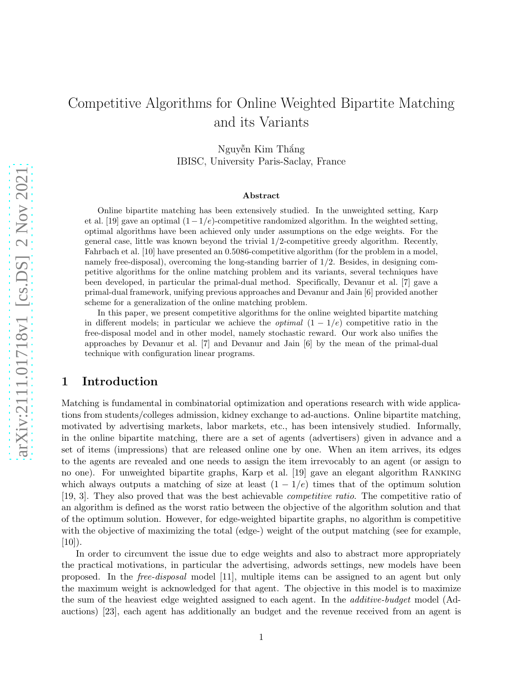# Competitive Algorithms for Online Weighted Bipartite Matching and its Variants

Nguyễn Kim Thắng IBISC, University Paris-Saclay, France

#### Abstract

Online bipartite matching has been extensively studied. In the unweighted setting, Karp et al. [\[19\]](#page-18-0) gave an optimal  $(1-1/e)$ -competitive randomized algorithm. In the weighted setting, optimal algorithms have been achieved only under assumptions on the edge weights. For the general case, little was known beyond the trivial 1/2-competitive greedy algorithm. Recently, Fahrbach et al. [\[10\]](#page-18-1) have presented an 0.5086-competitive algorithm (for the problem in a model, namely free-disposal), overcoming the long-standing barrier of 1/2. Besides, in designing competitive algorithms for the online matching problem and its variants, several techniques have been developed, in particular the primal-dual method. Specifically, Devanur et al. [\[7\]](#page-17-0) gave a primal-dual framework, unifying previous approaches and Devanur and Jain [\[6](#page-17-1)] provided another scheme for a generalization of the online matching problem.

In this paper, we present competitive algorithms for the online weighted bipartite matching in different models; in particular we achieve the *optimal*  $(1 - 1/e)$  competitive ratio in the free-disposal model and in other model, namely stochastic reward. Our work also unifies the approaches by Devanur et al. [\[7](#page-17-0)] and Devanur and Jain [\[6](#page-17-1)] by the mean of the primal-dual technique with configuration linear programs.

# 1 Introduction

Matching is fundamental in combinatorial optimization and operations research with wide applications from students/colleges admission, kidney exchange to ad-auctions. Online bipartite matching, motivated by advertising markets, labor markets, etc., has been intensively studied. Informally, in the online bipartite matching, there are a set of agents (advertisers) given in advance and a set of items (impressions) that are released online one by one. When an item arrives, its edges to the agents are revealed and one needs to assign the item irrevocably to an agent (or assign to no one). For unweighted bipartite graphs, Karp et al. [\[19\]](#page-18-0) gave an elegant algorithm Ranking which always outputs a matching of size at least  $(1 - 1/e)$  times that of the optimum solution [\[19,](#page-18-0) [3](#page-17-2)]. They also proved that was the best achievable competitive ratio. The competitive ratio of an algorithm is defined as the worst ratio between the objective of the algorithm solution and that of the optimum solution. However, for edge-weighted bipartite graphs, no algorithm is competitive with the objective of maximizing the total (edge-) weight of the output matching (see for example,  $[10]$ ).

In order to circumvent the issue due to edge weights and also to abstract more appropriately the practical motivations, in particular the advertising, adwords settings, new models have been proposed. In the free-disposal model [\[11](#page-18-2)], multiple items can be assigned to an agent but only the maximum weight is acknowledged for that agent. The objective in this model is to maximize the sum of the heaviest edge weighted assigned to each agent. In the additive-budget model (Adauctions) [\[23](#page-19-0)], each agent has additionally an budget and the revenue received from an agent is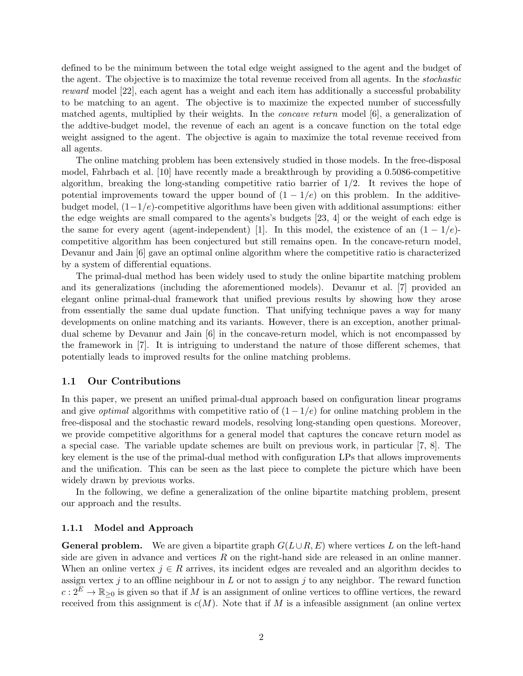defined to be the minimum between the total edge weight assigned to the agent and the budget of the agent. The objective is to maximize the total revenue received from all agents. In the stochastic reward model [\[22](#page-18-3)], each agent has a weight and each item has additionally a successful probability to be matching to an agent. The objective is to maximize the expected number of successfully matched agents, multiplied by their weights. In the concave return model [\[6](#page-17-1)], a generalization of the addtive-budget model, the revenue of each an agent is a concave function on the total edge weight assigned to the agent. The objective is again to maximize the total revenue received from all agents.

The online matching problem has been extensively studied in those models. In the free-disposal model, Fahrbach et al. [\[10\]](#page-18-1) have recently made a breakthrough by providing a 0.5086-competitive algorithm, breaking the long-standing competitive ratio barrier of  $1/2$ . It revives the hope of potential improvements toward the upper bound of  $(1 - 1/e)$  on this problem. In the additivebudget model,  $(1-1/e)$ -competitive algorithms have been given with additional assumptions: either the edge weights are small compared to the agents's budgets [\[23](#page-19-0), [4\]](#page-17-3) or the weight of each edge is the same for every agent (agent-independent) [\[1](#page-17-4)]. In this model, the existence of an  $(1 - 1/e)$ competitive algorithm has been conjectured but still remains open. In the concave-return model, Devanur and Jain [\[6\]](#page-17-1) gave an optimal online algorithm where the competitive ratio is characterized by a system of differential equations.

The primal-dual method has been widely used to study the online bipartite matching problem and its generalizations (including the aforementioned models). Devanur et al. [\[7\]](#page-17-0) provided an elegant online primal-dual framework that unified previous results by showing how they arose from essentially the same dual update function. That unifying technique paves a way for many developments on online matching and its variants. However, there is an exception, another primaldual scheme by Devanur and Jain [\[6](#page-17-1)] in the concave-return model, which is not encompassed by the framework in [\[7\]](#page-17-0). It is intriguing to understand the nature of those different schemes, that potentially leads to improved results for the online matching problems.

### 1.1 Our Contributions

In this paper, we present an unified primal-dual approach based on configuration linear programs and give *optimal* algorithms with competitive ratio of  $(1 - 1/e)$  for online matching problem in the free-disposal and the stochastic reward models, resolving long-standing open questions. Moreover, we provide competitive algorithms for a general model that captures the concave return model as a special case. The variable update schemes are built on previous work, in particular [\[7](#page-17-0), [8](#page-18-4)]. The key element is the use of the primal-dual method with configuration LPs that allows improvements and the unification. This can be seen as the last piece to complete the picture which have been widely drawn by previous works.

In the following, we define a generalization of the online bipartite matching problem, present our approach and the results.

### 1.1.1 Model and Approach

**General problem.** We are given a bipartite graph  $G(L\cup R, E)$  where vertices L on the left-hand side are given in advance and vertices  $R$  on the right-hand side are released in an online manner. When an online vertex  $j \in R$  arrives, its incident edges are revealed and an algorithm decides to assign vertex  $j$  to an offline neighbour in L or not to assign  $j$  to any neighbor. The reward function  $c: 2^E \to \mathbb{R}_{\geq 0}$  is given so that if M is an assignment of online vertices to offline vertices, the reward received from this assignment is  $c(M)$ . Note that if M is a infeasible assignment (an online vertex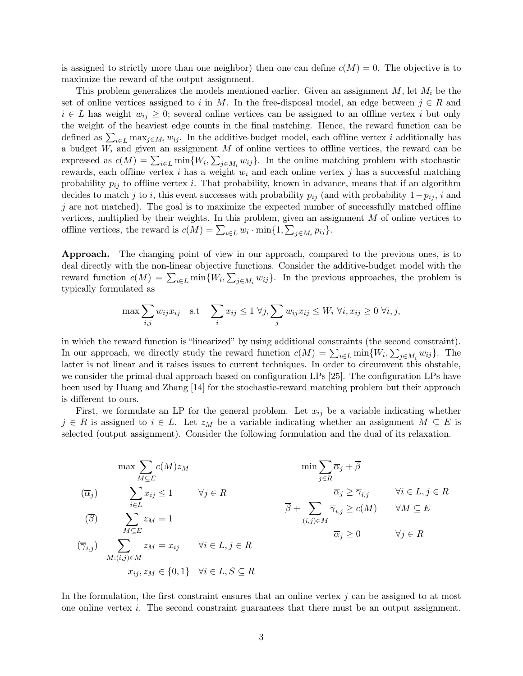is assigned to strictly more than one neighbor) then one can define  $c(M) = 0$ . The objective is to maximize the reward of the output assignment.

This problem generalizes the models mentioned earlier. Given an assignment  $M$ , let  $M_i$  be the set of online vertices assigned to i in M. In the free-disposal model, an edge between  $j \in R$  and  $i \in L$  has weight  $w_{ij} \geq 0$ ; several online vertices can be assigned to an offline vertex i but only the weight of the heaviest edge counts in the final matching. Hence, the reward function can be defined as  $\sum_{i\in L} \max_{j\in M_i} w_{ij}$ . In the additive-budget model, each offline vertex i additionally has a budget  $W_i$  and given an assignment M of online vertices to offline vertices, the reward can be expressed as  $c(M) = \sum_{i \in L} \min\{W_i, \sum_{j \in M_i} w_{ij}\}\.$  In the online matching problem with stochastic rewards, each offline vertex i has a weight  $w_i$  and each online vertex j has a successful matching probability  $p_{ij}$  to offline vertex i. That probability, known in advance, means that if an algorithm decides to match j to i, this event successes with probability  $p_{ij}$  (and with probability  $1-p_{ij}$ , i and  $j$  are not matched). The goal is to maximize the expected number of successfully matched offline vertices, multiplied by their weights. In this problem, given an assignment M of online vertices to offline vertices, the reward is  $c(M) = \sum_{i \in L} w_i \cdot \min\{1, \sum_{j \in M_i} p_{ij}\}.$ 

Approach. The changing point of view in our approach, compared to the previous ones, is to deal directly with the non-linear objective functions. Consider the additive-budget model with the reward function  $c(M) = \sum_{i \in L} \min\{W_i, \sum_{j \in M_i} w_{ij}\}.$  In the previous approaches, the problem is typically formulated as

$$
\max \sum_{i,j} w_{ij} x_{ij} \quad \text{s.t} \quad \sum_i x_{ij} \le 1 \ \forall j, \sum_j w_{ij} x_{ij} \le W_i \ \forall i, x_{ij} \ge 0 \ \forall i, j,
$$

in which the reward function is "linearized" by using additional constraints (the second constraint). In our approach, we directly study the reward function  $c(M) = \sum_{i \in L} \min\{W_i, \sum_{j \in M_i} w_{ij}\}.$  The latter is not linear and it raises issues to current techniques. In order to circumvent this obstable, we consider the primal-dual approach based on configuration LPs [\[25](#page-19-1)]. The configuration LPs have been used by Huang and Zhang [\[14](#page-18-5)] for the stochastic-reward matching problem but their approach is different to ours.

First, we formulate an LP for the general problem. Let  $x_{ij}$  be a variable indicating whether  $j \in R$  is assigned to  $i \in L$ . Let  $z_M$  be a variable indicating whether an assignment  $M \subseteq E$  is selected (output assignment). Consider the following formulation and the dual of its relaxation.

$$
\max \sum_{M \subseteq E} c(M) z_M \qquad \min \sum_{j \in R} \overline{\alpha}_j + \overline{\beta}
$$
\n
$$
(\overline{\alpha}_j) \qquad \sum_{i \in L} x_{ij} \le 1 \qquad \forall j \in R \qquad \overline{\alpha}_j \ge \overline{\gamma}_{i,j} \qquad \forall i \in L, j \in R
$$
\n
$$
(\overline{\beta}) \qquad \sum_{M \subseteq E} z_M = 1 \qquad \qquad \overline{\beta} + \sum_{(i,j) \in M} \overline{\gamma}_{i,j} \ge c(M) \qquad \forall M \subseteq E
$$
\n
$$
(\overline{\gamma}_{i,j}) \qquad \sum_{M:(i,j) \in M} z_M = x_{ij} \qquad \forall i \in L, j \in R \qquad \overline{\alpha}_j \ge 0 \qquad \forall j \in R
$$
\n
$$
x_{ij}, z_M \in \{0, 1\} \quad \forall i \in L, S \subseteq R
$$

In the formulation, the first constraint ensures that an online vertex  $j$  can be assigned to at most one online vertex i. The second constraint guarantees that there must be an output assignment.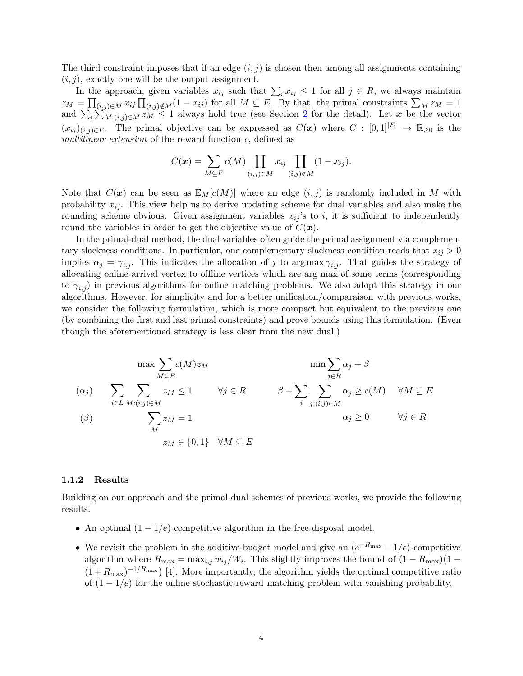The third constraint imposes that if an edge  $(i, j)$  is chosen then among all assignments containing  $(i, j)$ , exactly one will be the output assignment.

In the approach, given variables  $x_{ij}$  such that  $\sum_i x_{ij} \leq 1$  for all  $j \in R$ , we always maintain  $z_M = \prod_{(i,j)\in M} x_{ij} \prod_{(i,j)\notin M} (1-x_{ij})$  for all  $M \subseteq E$ . By that, the primal constraints  $\sum_M z_M = 1$ and  $\sum_i \sum_{M:(i,j)\in M}^{N} z_M \leq 1$  always hold true (see Section [2](#page-5-0) for the detail). Let x be the vector  $(x_{ij})_{(i,j)\in E}$ . The primal objective can be expressed as  $C(\mathbf{x})$  where  $C : [0,1]^{|E|} \to \mathbb{R}_{\geq 0}$  is the multilinear extension of the reward function c, defined as

$$
C(\mathbf{x}) = \sum_{M \subseteq E} c(M) \prod_{(i,j) \in M} x_{ij} \prod_{(i,j) \notin M} (1 - x_{ij}).
$$

Note that  $C(x)$  can be seen as  $\mathbb{E}_M[c(M)]$  where an edge  $(i, j)$  is randomly included in M with probability  $x_{ij}$ . This view help us to derive updating scheme for dual variables and also make the rounding scheme obvious. Given assignment variables  $x_{ij}$ 's to i, it is sufficient to independently round the variables in order to get the objective value of  $C(\boldsymbol{x})$ .

In the primal-dual method, the dual variables often guide the primal assignment via complementary slackness conditions. In particular, one complementary slackness condition reads that  $x_{ij} > 0$ implies  $\overline{\alpha}_j = \overline{\gamma}_{i,j}$ . This indicates the allocation of j to arg max  $\overline{\gamma}_{i,j}$ . That guides the strategy of allocating online arrival vertex to offline vertices which are arg max of some terms (corresponding to  $\overline{\gamma}_{i,j}$  in previous algorithms for online matching problems. We also adopt this strategy in our algorithms. However, for simplicity and for a better unification/comparaison with previous works, we consider the following formulation, which is more compact but equivalent to the previous one (by combining the first and last primal constraints) and prove bounds using this formulation. (Even though the aforementioned strategy is less clear from the new dual.)

$$
\max \sum_{M \subseteq E} c(M) z_M \qquad \min \sum_{j \in R} \alpha_j + \beta
$$
  
\n
$$
(\alpha_j) \qquad \sum_{i \in L} \sum_{M : (i,j) \in M} z_M \le 1 \qquad \forall j \in R \qquad \beta + \sum_{i} \sum_{j : (i,j) \in M} \alpha_j \ge c(M) \qquad \forall M \subseteq E
$$
  
\n
$$
(\beta) \qquad \sum_{M} z_M = 1 \qquad \qquad \alpha_j \ge 0 \qquad \forall j \in R
$$
  
\n
$$
z_M \in \{0,1\} \quad \forall M \subseteq E
$$

#### 1.1.2 Results

Building on our approach and the primal-dual schemes of previous works, we provide the following results.

- An optimal  $(1 1/e)$ -competitive algorithm in the free-disposal model.
- We revisit the problem in the additive-budget model and give an  $(e^{-R_{\text{max}}} 1/e)$ -competitive algorithm where  $R_{\text{max}} = \max_{i,j} w_{ij}/W_i$ . This slightly improves the bound of  $(1 - R_{\text{max}})(1 (1+R_{\text{max}})^{-1/R_{\text{max}}}$  [\[4](#page-17-3)]. More importantly, the algorithm yields the optimal competitive ratio of  $(1 - 1/e)$  for the online stochastic-reward matching problem with vanishing probability.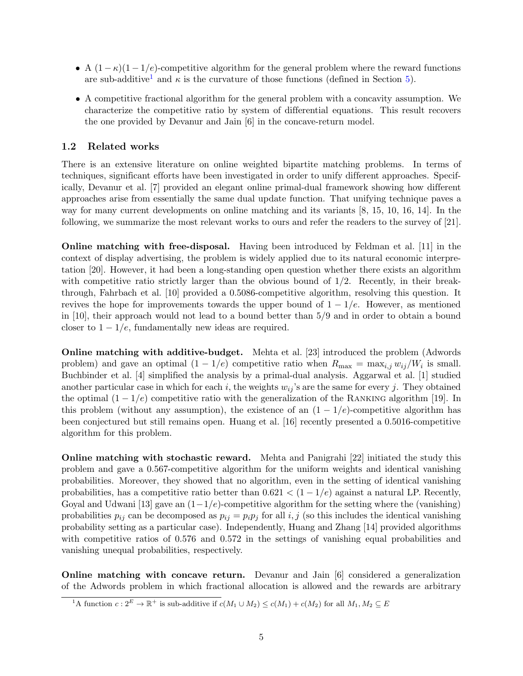- A  $(1 \kappa)(1 1/e)$ -competitive algorithm for the general problem where the reward functions are sub-additive<sup>[1](#page-4-0)</sup> and  $\kappa$  is the curvature of those functions (defined in Section [5\)](#page-12-0).
- A competitive fractional algorithm for the general problem with a concavity assumption. We characterize the competitive ratio by system of differential equations. This result recovers the one provided by Devanur and Jain [\[6](#page-17-1)] in the concave-return model.

### 1.2 Related works

There is an extensive literature on online weighted bipartite matching problems. In terms of techniques, significant efforts have been investigated in order to unify different approaches. Specifically, Devanur et al. [\[7](#page-17-0)] provided an elegant online primal-dual framework showing how different approaches arise from essentially the same dual update function. That unifying technique paves a way for many current developments on online matching and its variants [\[8,](#page-18-4) [15](#page-18-6), [10](#page-18-1), [16,](#page-18-7) [14\]](#page-18-5). In the following, we summarize the most relevant works to ours and refer the readers to the survey of [\[21\]](#page-18-8).

Online matching with free-disposal. Having been introduced by Feldman et al. [\[11](#page-18-2)] in the context of display advertising, the problem is widely applied due to its natural economic interpretation [\[20\]](#page-18-9). However, it had been a long-standing open question whether there exists an algorithm with competitive ratio strictly larger than the obvious bound of  $1/2$ . Recently, in their breakthrough, Fahrbach et al. [\[10](#page-18-1)] provided a 0.5086-competitive algorithm, resolving this question. It revives the hope for improvements towards the upper bound of  $1 - 1/e$ . However, as mentioned in [\[10\]](#page-18-1), their approach would not lead to a bound better than 5/9 and in order to obtain a bound closer to  $1 - 1/e$ , fundamentally new ideas are required.

Online matching with additive-budget. Mehta et al. [\[23\]](#page-19-0) introduced the problem (Adwords problem) and gave an optimal  $(1 - 1/e)$  competitive ratio when  $R_{\text{max}} = \max_{i,j} w_{ij}/W_i$  is small. Buchbinder et al. [\[4\]](#page-17-3) simplified the analysis by a primal-dual analysis. Aggarwal et al. [\[1](#page-17-4)] studied another particular case in which for each i, the weights  $w_{ij}$ 's are the same for every j. They obtained the optimal  $(1 - 1/e)$  competitive ratio with the generalization of the RANKING algorithm [\[19](#page-18-0)]. In this problem (without any assumption), the existence of an  $(1 - 1/e)$ -competitive algorithm has been conjectured but still remains open. Huang et al. [\[16\]](#page-18-7) recently presented a 0.5016-competitive algorithm for this problem.

Online matching with stochastic reward. Mehta and Panigrahi [\[22](#page-18-3)] initiated the study this problem and gave a 0.567-competitive algorithm for the uniform weights and identical vanishing probabilities. Moreover, they showed that no algorithm, even in the setting of identical vanishing probabilities, has a competitive ratio better than  $0.621 < (1 - 1/e)$  against a natural LP. Recently, Goyal and Udwani [\[13\]](#page-18-10) gave an  $(1-1/e)$ -competitive algorithm for the setting where the (vanishing) probabilities  $p_{ij}$  can be decomposed as  $p_{ij} = p_i p_j$  for all  $i, j$  (so this includes the identical vanishing probability setting as a particular case). Independently, Huang and Zhang [\[14](#page-18-5)] provided algorithms with competitive ratios of 0.576 and 0.572 in the settings of vanishing equal probabilities and vanishing unequal probabilities, respectively.

Online matching with concave return. Devanur and Jain [\[6\]](#page-17-1) considered a generalization of the Adwords problem in which fractional allocation is allowed and the rewards are arbitrary

<span id="page-4-0"></span><sup>&</sup>lt;sup>1</sup>A function  $c: 2^E \to \mathbb{R}^+$  is sub-additive if  $c(M_1 \cup M_2) \leq c(M_1) + c(M_2)$  for all  $M_1, M_2 \subseteq E$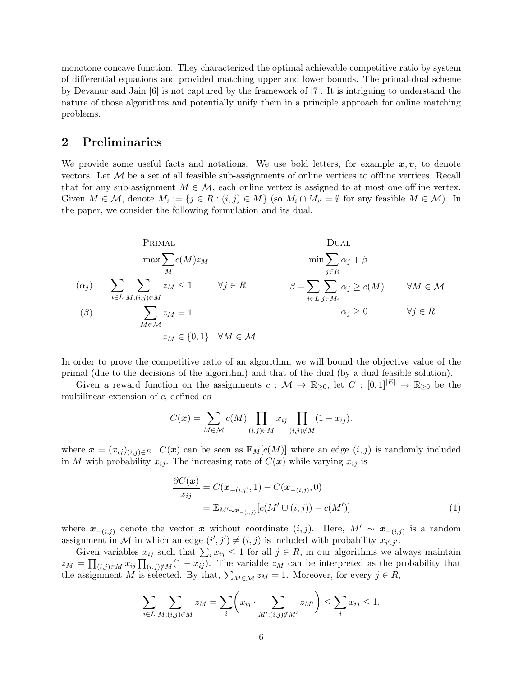monotone concave function. They characterized the optimal achievable competitive ratio by system of differential equations and provided matching upper and lower bounds. The primal-dual scheme by Devanur and Jain [\[6](#page-17-1)] is not captured by the framework of [\[7](#page-17-0)]. It is intriguing to understand the nature of those algorithms and potentially unify them in a principle approach for online matching problems.

## <span id="page-5-0"></span>2 Preliminaries

We provide some useful facts and notations. We use bold letters, for example  $x, v$ , to denote vectors. Let  $\mathcal M$  be a set of all feasible sub-assignments of online vertices to offline vertices. Recall that for any sub-assignment  $M \in \mathcal{M}$ , each online vertex is assigned to at most one offline vertex. Given  $M \in \mathcal{M}$ , denote  $M_i := \{j \in R : (i, j) \in M\}$  (so  $M_i \cap M_{i'} = \emptyset$  for any feasible  $M \in \mathcal{M}$ ). In the paper, we consider the following formulation and its dual.

Primal

\n
$$
\max \sum_{M} c(M) z_M \qquad \min \sum_{j \in R} \alpha_j + \beta
$$
\n(\alpha\_j)

\n
$$
\sum_{i \in L} \sum_{M : (i,j) \in M} z_M \le 1 \qquad \forall j \in R \qquad \beta + \sum_{i \in L} \sum_{j \in M_i} \alpha_j \ge c(M) \qquad \forall M \in \mathcal{M}
$$
\n(\beta)

\n
$$
\sum_{M \in \mathcal{M}} z_M = 1 \qquad \qquad \alpha_j \ge 0 \qquad \forall j \in R
$$
\nz\_M \in \{0, 1\} \quad \forall M \in \mathcal{M}

In order to prove the competitive ratio of an algorithm, we will bound the objective value of the primal (due to the decisions of the algorithm) and that of the dual (by a dual feasible solution).

Given a reward function on the assignments  $c : \mathcal{M} \to \mathbb{R}_{\geq 0}$ , let  $C : [0,1]^{|E|} \to \mathbb{R}_{\geq 0}$  be the multilinear extension of c, defined as

$$
C(\boldsymbol{x}) = \sum_{M \in \mathcal{M}} c(M) \prod_{(i,j) \in M} x_{ij} \prod_{(i,j) \notin M} (1 - x_{ij}).
$$

where  $\mathbf{x} = (x_{ij})_{(i,j)\in E}$ .  $C(\mathbf{x})$  can be seen as  $\mathbb{E}_M[c(M)]$  where an edge  $(i, j)$  is randomly included in M with probability  $x_{ij}$ . The increasing rate of  $C(\boldsymbol{x})$  while varying  $x_{ij}$  is

<span id="page-5-1"></span>
$$
\frac{\partial C(\boldsymbol{x})}{x_{ij}} = C(\boldsymbol{x}_{-(i,j)}, 1) - C(\boldsymbol{x}_{-(i,j)}, 0) \n= \mathbb{E}_{M' \sim \boldsymbol{x}_{-(i,j)}} [c(M' \cup (i,j)) - c(M')]
$$
\n(1)

where  $\mathbf{x}_{-(i,j)}$  denote the vector  $\mathbf{x}$  without coordinate  $(i,j)$ . Here,  $M' \sim \mathbf{x}_{-(i,j)}$  is a random assignment in M in which an edge  $(i', j') \neq (i, j)$  is included with probability  $x_{i', j'}$ .

Given variables  $x_{ij}$  such that  $\sum_i x_{ij} \leq 1$  for all  $j \in R$ , in our algorithms we always maintain  $z_M = \prod_{(i,j)\in M} x_{ij} \prod_{(i,j)\notin M} (1-x_{ij})$ . The variable  $z_M$  can be interpreted as the probability that the assignment M is selected. By that,  $\sum_{M \in \mathcal{M}} z_M = 1$ . Moreover, for every  $j \in R$ ,

$$
\sum_{i \in L} \sum_{M: (i,j) \in M} z_M = \sum_i \left( x_{ij} \cdot \sum_{M': (i,j) \notin M'} z_{M'} \right) \le \sum_i x_{ij} \le 1.
$$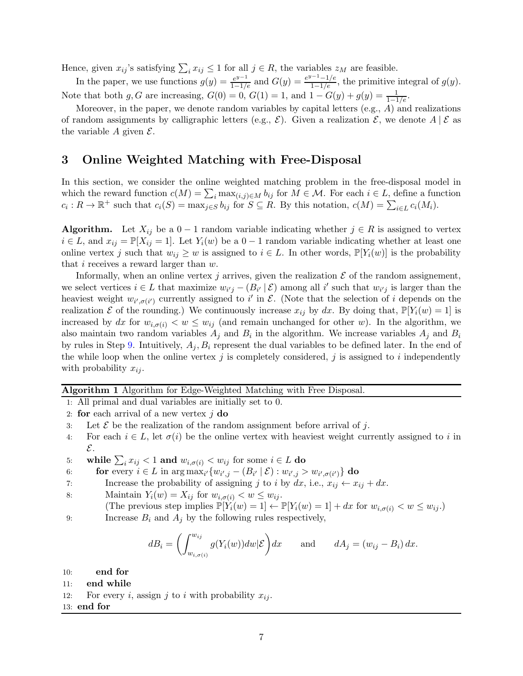Hence, given  $x_{ij}$ 's satisfying  $\sum_i x_{ij} \leq 1$  for all  $j \in R$ , the variables  $z_M$  are feasible.

In the paper, we use functions  $g(y) = \frac{e^{y-1}}{1-1/e}$  and  $G(y) = \frac{e^{y-1}-1/e}{1-1/e}$ , the primitive integral of  $g(y)$ . Note that both g, G are increasing,  $G(0) = 0$ ,  $G(1) = 1$ , and  $1 - G(y) + g(y) = \frac{1}{1 - 1/e}$ .

Moreover, in the paper, we denote random variables by capital letters  $(e.g., A)$  and realizations of random assignments by calligraphic letters (e.g.,  $\mathcal{E}$ ). Given a realization  $\mathcal{E}$ , we denote  $A \mid \mathcal{E}$  as the variable A given  $\mathcal{E}$ .

# 3 Online Weighted Matching with Free-Disposal

In this section, we consider the online weighted matching problem in the free-disposal model in which the reward function  $c(M) = \sum_i \max_{(i,j)\in M} b_{ij}$  for  $M \in \mathcal{M}$ . For each  $i \in L$ , define a function  $c_i: R \to \mathbb{R}^+$  such that  $c_i(S) = \max_{j \in S} b_{ij}$  for  $S \subseteq R$ . By this notation,  $c(M) = \sum_{i \in L} c_i(M_i)$ .

**Algorithm.** Let  $X_{ij}$  be a  $0-1$  random variable indicating whether  $j \in R$  is assigned to vertex  $i \in L$ , and  $x_{ij} = \mathbb{P}[X_{ij} = 1]$ . Let  $Y_i(w)$  be a  $0 - 1$  random variable indicating whether at least one online vertex j such that  $w_{ij} \geq w$  is assigned to  $i \in L$ . In other words,  $\mathbb{P}[Y_i(w)]$  is the probability that i receives a reward larger than w.

Informally, when an online vertex j arrives, given the realization  $\mathcal E$  of the random assignement, we select vertices  $i \in L$  that maximize  $w_{i'j} - (B_{i'} | \mathcal{E})$  among all i' such that  $w_{i'j}$  is larger than the heaviest weight  $w_{i',\sigma(i')}$  currently assigned to i' in  $\mathcal{E}$ . (Note that the selection of i depends on the realization  $\mathcal E$  of the rounding.) We continuously increase  $x_{ij}$  by dx. By doing that,  $\mathbb P[Y_i(w) = 1]$  is increased by dx for  $w_{i,\sigma(i)} < w \leq w_{ij}$  (and remain unchanged for other w). In the algorithm, we also maintain two random variables  $A_j$  and  $B_i$  in the algorithm. We increase variables  $A_j$  and  $B_i$ by rules in Step [9.](#page-6-0) Intuitively,  $A_i, B_i$  represent the dual variables to be defined later. In the end of the while loop when the online vertex  $j$  is completely considered,  $j$  is assigned to  $i$  independently with probability  $x_{ij}$ .

### <span id="page-6-2"></span>Algorithm 1 Algorithm for Edge-Weighted Matching with Free Disposal.

1: All primal and dual variables are initially set to 0.

- 2: for each arrival of a new vertex  $j$  do
- 3: Let  $\mathcal E$  be the realization of the random assignment before arrival of j.
- 4: For each  $i \in L$ , let  $\sigma(i)$  be the online vertex with heaviest weight currently assigned to i in E.
- <span id="page-6-1"></span>5: while  $\sum_i x_{ij} < 1$  and  $w_{i, \sigma(i)} < w_{ij}$  for some  $i \in L$  do
- 6: **for** every  $i \in L$  in  $\arg \max_{i'} \{ w_{i',j} (B_{i'} | \mathcal{E}) : w_{i',j} > w_{i',\sigma(i')} \}$  do
- 7: Increase the probability of assigning j to i by  $dx$ , i.e.,  $x_{ij} \leftarrow x_{ij} + dx$ .
- 8: Maintain  $Y_i(w) = X_{ij}$  for  $w_{i,\sigma(i)} < w \leq w_{ij}$ .
- (The previous step implies  $\mathbb{P}[Y_i(w) = 1] \leftarrow \mathbb{P}[Y_i(w) = 1] + dx$  for  $w_{i,\sigma(i)} < w \leq w_{ij}$ .)
- 9: Increase  $B_i$  and  $A_j$  by the following rules respectively,

<span id="page-6-0"></span>
$$
dB_i = \left(\int_{w_{i,\sigma(i)}}^{w_{ij}} g(Y_i(w))dw|\mathcal{E}\right)dx \quad \text{and} \quad dA_j = (w_{ij} - B_i) dx.
$$

10: end for

11: end while

12: For every i, assign j to i with probability  $x_{ij}$ .

### 13: end for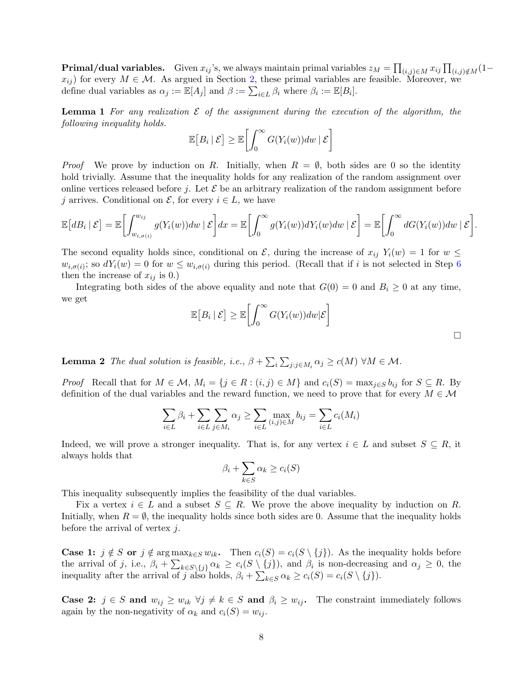${\bf Primal/dual\ variables.} \quad$  Given  $x_{ij}$ 's, we always maintain primal variables  $z_M=\prod_{(i,j)\in M}x_{ij}\prod_{(i,j)\notin M}(1-\frac{1}{n})$  $x_{ij}$ ) for every  $M \in \mathcal{M}$ . As argued in Section [2,](#page-5-0) these primal variables are feasible. Moreover, we define dual variables as  $\alpha_j := \mathbb{E}[A_j]$  and  $\beta := \sum_{i \in L} \beta_i$  where  $\beta_i := \mathbb{E}[B_i]$ .

<span id="page-7-0"></span>**Lemma 1** For any realization  $\mathcal E$  of the assignment during the execution of the algorithm, the following inequality holds.

$$
\mathbb{E}\big[B_i \,|\, \mathcal{E}\big] \geq \mathbb{E}\bigg[\int_0^\infty G(Y_i(w))dw \,|\, \mathcal{E}\bigg]
$$

*Proof* We prove by induction on R. Initially, when  $R = \emptyset$ , both sides are 0 so the identity hold trivially. Assume that the inequality holds for any realization of the random assignment over online vertices released before j. Let  $\mathcal E$  be an arbitrary realization of the random assignment before j arrives. Conditional on  $\mathcal{E}$ , for every  $i \in L$ , we have

$$
\mathbb{E}\big[dB_i\,|\,\mathcal{E}\big] = \mathbb{E}\bigg[\int_{w_{i,\sigma(i)}}^{w_{ij}} g(Y_i(w))dw\,|\,\mathcal{E}\bigg]dx = \mathbb{E}\bigg[\int_0^\infty g(Y_i(w))dY_i(w)dw\,|\,\mathcal{E}\bigg] = \mathbb{E}\bigg[\int_0^\infty dG(Y_i(w))dw\,|\,\mathcal{E}\bigg].
$$

The second equality holds since, conditional on  $\mathcal{E}$ , during the increase of  $x_{ij}$   $Y_i(w) = 1$  for  $w \leq$  $w_{i,\sigma(i)}$ ; so  $dY_i(w) = 0$  for  $w \leq w_{i,\sigma(i)}$  during this period. (Recall that if i is not selected in Step [6](#page-6-1) then the increase of  $x_{ij}$  is 0.)

Integrating both sides of the above equality and note that  $G(0) = 0$  and  $B_i \geq 0$  at any time, we get

$$
\mathbb{E}\big[B_i \,|\, \mathcal{E}\big] \geq \mathbb{E}\bigg[\int_0^\infty G(Y_i(w))dw|\mathcal{E}\bigg]
$$

**Lemma 2** The dual solution is feasible, i.e.,  $\beta + \sum_{i} \sum_{j:j \in M_i} \alpha_j \ge c(M)$   $\forall M \in \mathcal{M}$ .

*Proof* Recall that for  $M \in \mathcal{M}$ ,  $M_i = \{j \in R : (i,j) \in M\}$  and  $c_i(S) = \max_{j \in S} b_{ij}$  for  $S \subseteq R$ . By definition of the dual variables and the reward function, we need to prove that for every  $M \in \mathcal{M}$ 

$$
\sum_{i \in L} \beta_i + \sum_{i \in L} \sum_{j \in M_i} \alpha_j \ge \sum_{i \in L} \max_{(i,j) \in M} b_{ij} = \sum_{i \in L} c_i(M_i)
$$

Indeed, we will prove a stronger inequality. That is, for any vertex  $i \in L$  and subset  $S \subseteq R$ , it always holds that

$$
\beta_i + \sum_{k \in S} \alpha_k \ge c_i(S)
$$

This inequality subsequently implies the feasibility of the dual variables.

Fix a vertex  $i \in L$  and a subset  $S \subseteq R$ . We prove the above inequality by induction on R. Initially, when  $R = \emptyset$ , the inequality holds since both sides are 0. Assume that the inequality holds before the arrival of vertex  $i$ .

**Case 1:**  $j \notin S$  or  $j \notin \arg \max_{k \in S} w_{ik}$ . Then  $c_i(S) = c_i(S \setminus \{j\})$ . As the inequality holds before the arrival of j, i.e.,  $\beta_i + \sum_{k \in S \setminus \{j\}} \alpha_k \geq c_i(S \setminus \{j\})$ , and  $\beta_i$  is non-decreasing and  $\alpha_j \geq 0$ , the inequality after the arrival of j also holds,  $\beta_i + \sum_{k \in S} \alpha_k \ge c_i(S) = c_i(S \setminus \{j\}).$ 

**Case 2:**  $j \in S$  and  $w_{ij} \geq w_{ik}$   $\forall j \neq k \in S$  and  $\beta_i \geq w_{ij}$ . The constraint immediately follows again by the non-negativity of  $\alpha_k$  and  $c_i(S) = w_{ij}$ .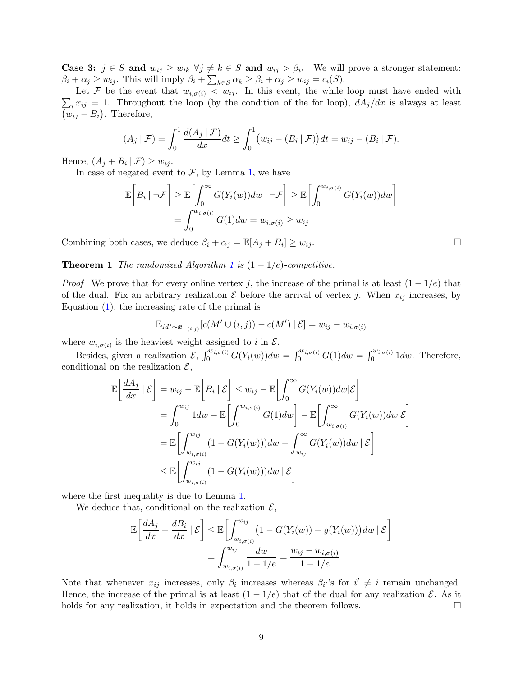**Case 3:**  $j \in S$  and  $w_{ij} \geq w_{ik} \ \forall j \neq k \in S$  and  $w_{ij} > \beta_i$ . We will prove a stronger statement:  $\beta_i + \alpha_j \ge w_{ij}$ . This will imply  $\beta_i + \sum_{k \in S} \alpha_k \ge \beta_i + \alpha_j \ge w_{ij} = c_i(S)$ .

 $\sum_i x_{ij} = 1$ . Throughout the loop (by the condition of the for loop),  $dA_j/dx$  is always at least Let F be the event that  $w_{i,\sigma(i)} < w_{ij}$ . In this event, the while loop must have ended with  $(w_{ij} - B_i)$ . Therefore,

$$
(A_j \mid \mathcal{F}) = \int_0^1 \frac{d(A_j \mid \mathcal{F})}{dx} dt \ge \int_0^1 (w_{ij} - (B_i \mid \mathcal{F})) dt = w_{ij} - (B_i \mid \mathcal{F}).
$$

Hence,  $(A_j + B_i | \mathcal{F}) \geq w_{ij}$ .

In case of negated event to  $F$ , by Lemma [1,](#page-7-0) we have

$$
\mathbb{E}\bigg[B_i | \neg \mathcal{F}\bigg] \geq \mathbb{E}\bigg[\int_0^\infty G(Y_i(w))dw | \neg \mathcal{F}\bigg] \geq \mathbb{E}\bigg[\int_0^{w_{i,\sigma(i)}} G(Y_i(w))dw\bigg]
$$

$$
= \int_0^{w_{i,\sigma(i)}} G(1)dw = w_{i,\sigma(i)} \geq w_{ij}
$$

Combining both cases, we deduce  $\beta_i + \alpha_j = \mathbb{E}[A_j + B_i] \ge w_{ij}$ .

**Theorem [1](#page-6-2)** The randomized Algorithm 1 is  $(1 - 1/e)$ -competitive.

*Proof* We prove that for every online vertex j, the increase of the primal is at least  $(1 - 1/e)$  that of the dual. Fix an arbitrary realization  $\mathcal E$  before the arrival of vertex j. When  $x_{ij}$  increases, by Equation  $(1)$ , the increasing rate of the primal is

$$
\mathbb{E}_{M' \sim \mathbf{x}_{-(i,j)}}[c(M' \cup (i,j)) - c(M') | \mathcal{E}] = w_{ij} - w_{i,\sigma(i)}
$$

where  $w_{i,\sigma(i)}$  is the heaviest weight assigned to i in  $\mathcal{E}$ .

Besides, given a realization  $\mathcal{E}, \int_0^{w_{i,\sigma(i)}} G(Y_i(w))dw = \int_0^{w_{i,\sigma(i)}} G(1)dw = \int_0^{w_{i,\sigma(i)}} 1dw$ . Therefore, conditional on the realization  $\mathcal{E}$ ,

$$
\mathbb{E}\left[\frac{dA_j}{dx} | \mathcal{E}\right] = w_{ij} - \mathbb{E}\left[B_i | \mathcal{E}\right] \leq w_{ij} - \mathbb{E}\left[\int_0^\infty G(Y_i(w))dw|\mathcal{E}\right]
$$
  
\n
$$
= \int_0^{w_{ij}} 1dw - \mathbb{E}\left[\int_0^{w_{i,\sigma(i)}} G(1)dw\right] - \mathbb{E}\left[\int_{w_{i,\sigma(i)}}^\infty G(Y_i(w))dw|\mathcal{E}\right]
$$
  
\n
$$
= \mathbb{E}\left[\int_{w_{i,\sigma(i)}}^{w_{ij}} (1 - G(Y_i(w)))dw - \int_{w_{ij}}^\infty G(Y_i(w))dw | \mathcal{E}\right]
$$
  
\n
$$
\leq \mathbb{E}\left[\int_{w_{i,\sigma(i)}}^{w_{ij}} (1 - G(Y_i(w)))dw | \mathcal{E}\right]
$$

where the first inequality is due to Lemma [1.](#page-7-0)

We deduce that, conditional on the realization  $\mathcal{E}$ ,

$$
\mathbb{E}\left[\frac{dA_j}{dx} + \frac{dB_i}{dx} | \mathcal{E}\right] \leq \mathbb{E}\left[\int_{w_{i,\sigma(i)}}^{w_{ij}} \left(1 - G(Y_i(w)) + g(Y_i(w))\right) dw | \mathcal{E}\right]
$$

$$
= \int_{w_{i,\sigma(i)}}^{w_{ij}} \frac{dw}{1 - 1/e} = \frac{w_{ij} - w_{i,\sigma(i)}}{1 - 1/e}
$$

Note that whenever  $x_{ij}$  increases, only  $\beta_i$  increases whereas  $\beta_{i'}$ 's for  $i' \neq i$  remain unchanged. Hence, the increase of the primal is at least  $(1 - 1/e)$  that of the dual for any realization  $\mathcal{E}$ . As it holds for any realization, it holds in expectation and the theorem follows.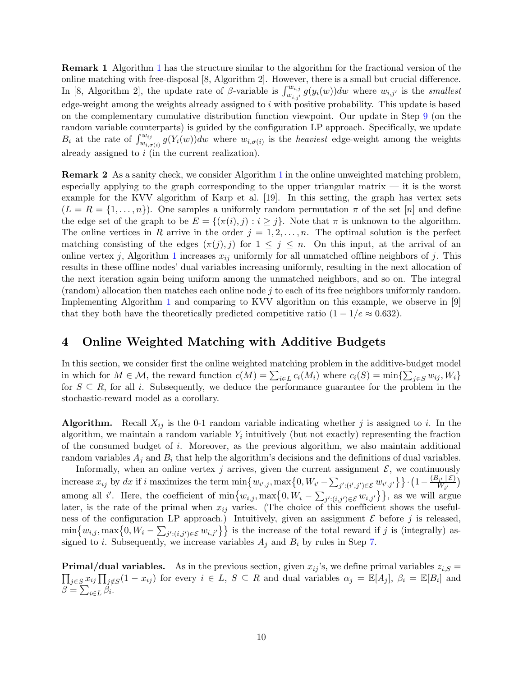Remark 1 Algorithm [1](#page-6-2) has the structure similar to the algorithm for the fractional version of the online matching with free-disposal [\[8](#page-18-4), Algorithm 2]. However, there is a small but crucial difference. In [\[8](#page-18-4), Algorithm 2], the update rate of  $\beta$ -variable is  $\int_{w_{i,j}}^{w_{i,j}} g(y_i(w))dw$  where  $w_{i,j'}$  is the *smallest* edge-weight among the weights already assigned to  $i$  with positive probability. This update is based on the complementary cumulative distribution function viewpoint. Our update in Step [9](#page-6-0) (on the random variable counterparts) is guided by the configuration LP approach. Specifically, we update  $B_i$  at the rate of  $\int_{w_{i,\sigma(i)}}^{w_{ij}} g(Y_i(w))dw$  where  $w_{i,\sigma(i)}$  is the *heaviest* edge-weight among the weights already assigned to i (in the current realization).

Remark 2 As a sanity check, we consider Algorithm [1](#page-6-2) in the online unweighted matching problem, especially applying to the graph corresponding to the upper triangular matrix — it is the worst example for the KVV algorithm of Karp et al. [\[19](#page-18-0)]. In this setting, the graph has vertex sets  $(L = R = \{1, \ldots, n\})$ . One samples a uniformly random permutation  $\pi$  of the set  $[n]$  and define the edge set of the graph to be  $E = \{(\pi(i), j) : i \geq j\}$ . Note that  $\pi$  is unknown to the algorithm. The online vertices in R arrive in the order  $j = 1, 2, \ldots, n$ . The optimal solution is the perfect matching consisting of the edges  $(\pi(j), j)$  for  $1 \leq j \leq n$ . On this input, at the arrival of an online vertex j, Algorithm [1](#page-6-2) increases  $x_{ij}$  uniformly for all unmatched offline neighbors of j. This results in these offline nodes' dual variables increasing uniformly, resulting in the next allocation of the next iteration again being uniform among the unmatched neighbors, and so on. The integral (random) allocation then matches each online node j to each of its free neighbors uniformly random. Implementing Algorithm [1](#page-6-2) and comparing to KVV algorithm on this example, we observe in [\[9\]](#page-18-11) that they both have the theoretically predicted competitive ratio  $(1 - 1/e \approx 0.632)$ .

# 4 Online Weighted Matching with Additive Budgets

In this section, we consider first the online weighted matching problem in the additive-budget model in which for  $M \in \mathcal{M}$ , the reward function  $c(M) = \sum_{i \in L} c_i(M_i)$  where  $c_i(S) = \min\{\sum_{j \in S} w_{ij}, W_i\}$ for  $S \subseteq R$ , for all i. Subsequently, we deduce the performance guarantee for the problem in the stochastic-reward model as a corollary.

**Algorithm.** Recall  $X_{ij}$  is the 0-1 random variable indicating whether j is assigned to i. In the algorithm, we maintain a random variable  $Y_i$  intuitively (but not exactly) representing the fraction of the consumed budget of i. Moreover, as the previous algorithm, we also maintain additional random variables  $A_i$  and  $B_i$  that help the algorithm's decisions and the definitions of dual variables.

Informally, when an online vertex j arrives, given the current assignment  $\mathcal{E}$ , we continuously increase  $x_{ij}$  by dx if i maximizes the term  $\min\{w_{i',j},\max\{0,W_{i'}-\sum_{j':(i',j')\in\mathcal{E}}w_{i',j'}\}\}\cdot\left(1-\frac{(B_{i'}\mid\mathcal{E})}{W_{i'}}\right)$  $\frac{N_i(2\epsilon)}{W_i(2)}$ among all i'. Here, the coefficient of  $\min\{w_{i,j}, \max\{0, W_i - \sum_{j':(i,j')\in\mathcal{E}} w_{i,j'}\}\}\$ , as we will argue later, is the rate of the primal when  $x_{ij}$  varies. (The choice of this coefficient shows the usefulness of the configuration LP approach.) Intuitively, given an assignment  $\mathcal E$  before j is released,  $\min\{w_{i,j},\max\{0,W_i-\sum_{j':(i,j')\in\mathcal{E}}w_{i,j'}\}\}\$ is the increase of the total reward if j is (integrally) assigned to *i*. Subsequently, we increase variables  $A_j$  and  $B_i$  by rules in Step [7.](#page-10-0)

**Primal/dual variables.** As in the previous section, given  $x_{ij}$ 's, we define primal variables  $z_{i,S}$  =  $\prod_{j\in S} x_{ij} \prod_{j \notin S} (1-x_{ij})$  for every  $i \in L$ ,  $S \subseteq R$  and dual variables  $\alpha_j = \mathbb{E}[A_j]$ ,  $\beta_i = \mathbb{E}[B_i]$  and  $\beta = \sum_{i \in L} \beta_i$ .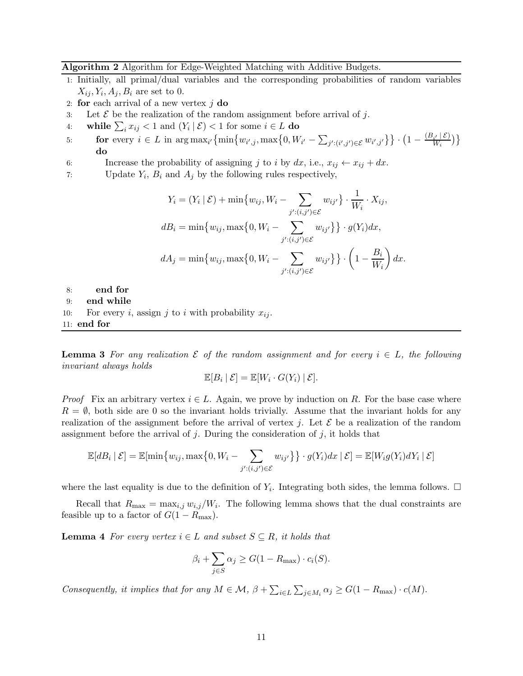### <span id="page-10-1"></span>Algorithm 2 Algorithm for Edge-Weighted Matching with Additive Budgets.

- 1: Initially, all primal/dual variables and the corresponding probabilities of random variables  $X_{ij}, Y_i, A_j, B_i$  are set to 0.
- 2: for each arrival of a new vertex  $j$  do
- 3: Let  $\mathcal E$  be the realization of the random assignment before arrival of j.
- 4: while  $\sum_i x_{ij} < 1$  and  $(Y_i | \mathcal{E}) < 1$  for some  $i \in L$  do
- 5: **for** every  $i \in L$  in  $\arg \max_{i'} \left\{ \min \left\{ w_{i',j}, \max \left\{ 0, W_{i'} \sum_{j':(i',j') \in \mathcal{E}} w_{i',j'} \right\} \right\} \cdot \left( 1 \frac{(B_{i'}|\mathcal{E})}{W_i} \right) \right\}$  $\frac{i' \mid \mathcal{L}}{W_i}$ ) } do
- 6: Increase the probability of assigning j to i by  $dx$ , i.e.,  $x_{ij} \leftarrow x_{ij} + dx$ .
- 7: Update  $Y_i$ ,  $B_i$  and  $A_j$  by the following rules respectively,

<span id="page-10-0"></span>
$$
Y_i = (Y_i | \mathcal{E}) + \min\{w_{ij}, W_i - \sum_{j':(i,j') \in \mathcal{E}} w_{ij'}\} \cdot \frac{1}{W_i} \cdot X_{ij},
$$
  
\n
$$
dB_i = \min\{w_{ij}, \max\{0, W_i - \sum_{j':(i,j') \in \mathcal{E}} w_{ij'}\}\} \cdot g(Y_i) dx,
$$
  
\n
$$
dA_j = \min\{w_{ij}, \max\{0, W_i - \sum_{j':(i,j') \in \mathcal{E}} w_{ij'}\}\} \cdot \left(1 - \frac{B_i}{W_i}\right) dx.
$$

8: end for 9: end while 10: For every i, assign j to i with probability  $x_{ij}$ . 11: end for

**Lemma 3** For any realization  $\mathcal E$  of the random assignment and for every  $i \in L$ , the following invariant always holds

$$
\mathbb{E}[B_i | \mathcal{E}] = \mathbb{E}[W_i \cdot G(Y_i) | \mathcal{E}].
$$

*Proof* Fix an arbitrary vertex  $i \in L$ . Again, we prove by induction on R. For the base case where  $R = \emptyset$ , both side are 0 so the invariant holds trivially. Assume that the invariant holds for any realization of the assignment before the arrival of vertex j. Let  $\mathcal E$  be a realization of the random assignment before the arrival of j. During the consideration of j, it holds that

$$
\mathbb{E}[dB_i | \mathcal{E}] = \mathbb{E}[\min\{w_{ij}, \max\{0, W_i - \sum_{j':(i,j') \in \mathcal{E}} w_{ij'}\}\} \cdot g(Y_i) dx | \mathcal{E}] = \mathbb{E}[W_i g(Y_i) dY_i | \mathcal{E}]
$$

where the last equality is due to the definition of  $Y_i$ . Integrating both sides, the lemma follows.  $\Box$ 

Recall that  $R_{\text{max}} = \max_{i,j} w_{i,j}/W_i$ . The following lemma shows that the dual constraints are feasible up to a factor of  $G(1 - R_{\text{max}})$ .

**Lemma 4** For every vertex  $i \in L$  and subset  $S \subseteq R$ , it holds that

$$
\beta_i + \sum_{j \in S} \alpha_j \ge G(1 - R_{\text{max}}) \cdot c_i(S).
$$

Consequently, it implies that for any  $M \in \mathcal{M}$ ,  $\beta + \sum_{i \in L} \sum_{j \in M_i} \alpha_j \ge G(1 - R_{\text{max}}) \cdot c(M)$ .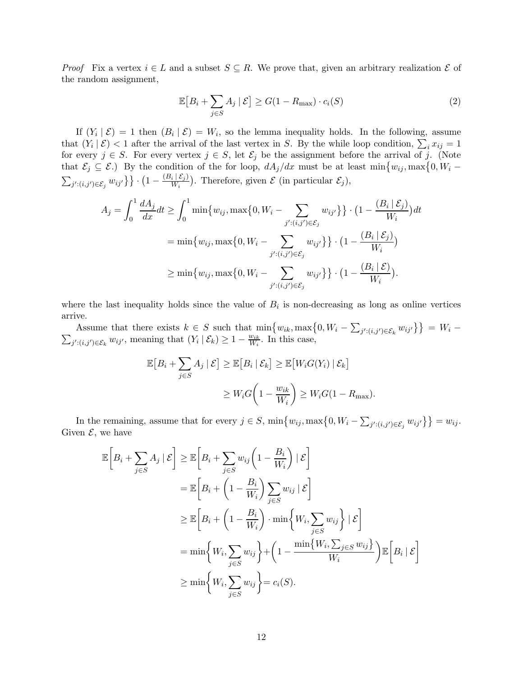*Proof* Fix a vertex  $i \in L$  and a subset  $S \subseteq R$ . We prove that, given an arbitrary realization  $\mathcal{E}$  of the random assignment,

<span id="page-11-0"></span>
$$
\mathbb{E}\left[B_i + \sum_{j \in S} A_j \mid \mathcal{E}\right] \ge G(1 - R_{\text{max}}) \cdot c_i(S) \tag{2}
$$

If  $(Y_i | \mathcal{E}) = 1$  then  $(B_i | \mathcal{E}) = W_i$ , so the lemma inequality holds. In the following, assume that  $(Y_i | \mathcal{E}) < 1$  after the arrival of the last vertex in S. By the while loop condition,  $\sum_i x_{ij} = 1$ for every  $j \in S$ . For every vertex  $j \in S$ , let  $\mathcal{E}_j$  be the assignment before the arrival of j. (Note that  $\mathcal{E}_j \subseteq \mathcal{E}$ .) By the condition of the for loop,  $dA_j/dx$  must be at least  $\min\{w_{ij}, \max\{0, W_i - \}$  $\sum_{j':(i,j')\in \mathcal{E}_j} w_{ij'}\big\}\big\}\cdot\big(1-\frac{(B_i\,|\,\mathcal{E}_j)}{W_i}\big)$  $\frac{i(\mathcal{E}_j)}{W_i}$ . Therefore, given  $\mathcal E$  (in particular  $\mathcal E_j$ ),

$$
A_j = \int_0^1 \frac{dA_j}{dx} dt \ge \int_0^1 \min\{w_{ij}, \max\{0, W_i - \sum_{j':(i,j') \in \mathcal{E}_j} w_{ij'}\}\} \cdot (1 - \frac{(B_i | \mathcal{E}_j)}{W_i}) dt
$$
  
=  $\min\{w_{ij}, \max\{0, W_i - \sum_{j':(i,j') \in \mathcal{E}_j} w_{ij'}\}\} \cdot (1 - \frac{(B_i | \mathcal{E}_j)}{W_i})$   
 $\ge \min\{w_{ij}, \max\{0, W_i - \sum_{j':(i,j') \in \mathcal{E}_j} w_{ij'}\}\} \cdot (1 - \frac{(B_i | \mathcal{E})}{W_i}).$ 

where the last inequality holds since the value of  $B_i$  is non-decreasing as long as online vertices arrive.

Assume that there exists  $k \in S$  such that  $\min\{w_{ik}, \max\{0, W_i - \sum_{j':(i,j')\in \mathcal{E}_k} w_{ij'}\}\} = W_i - \sum_{j':(i,j')\in \mathcal{E}_k} w_{ij'}$ , meaning that  $(Y_i | \mathcal{E}_k) \ge 1 - \frac{w_{ik}}{W_i}$ . In this case,  $\frac{w_{ik}}{W_i}$ . In this case,

$$
\mathbb{E}\left[B_i + \sum_{j \in S} A_j \mid \mathcal{E}\right] \geq \mathbb{E}\left[B_i \mid \mathcal{E}_k\right] \geq \mathbb{E}\left[W_i G(Y_i) \mid \mathcal{E}_k\right]
$$

$$
\geq W_i G\left(1 - \frac{w_{ik}}{W_i}\right) \geq W_i G(1 - R_{\text{max}}).
$$

In the remaining, assume that for every  $j \in S$ ,  $\min\{w_{ij}, \max\{0, W_i - \sum_{j':(i,j') \in \mathcal{E}_j} w_{ij'}\}\} = w_{ij}$ . Given  $\mathcal{E}$ , we have

$$
\mathbb{E}\left[B_{i} + \sum_{j\in S} A_{j} \mid \mathcal{E}\right] \geq \mathbb{E}\left[B_{i} + \sum_{j\in S} w_{ij} \left(1 - \frac{B_{i}}{W_{i}}\right) \mid \mathcal{E}\right]
$$
\n
$$
= \mathbb{E}\left[B_{i} + \left(1 - \frac{B_{i}}{W_{i}}\right) \sum_{j\in S} w_{ij} \mid \mathcal{E}\right]
$$
\n
$$
\geq \mathbb{E}\left[B_{i} + \left(1 - \frac{B_{i}}{W_{i}}\right) \cdot \min\left\{W_{i}, \sum_{j\in S} w_{ij}\right\} \mid \mathcal{E}\right]
$$
\n
$$
= \min\left\{W_{i}, \sum_{j\in S} w_{ij}\right\} + \left(1 - \frac{\min\{W_{i}, \sum_{j\in S} w_{ij}\}}{W_{i}}\right) \mathbb{E}\left[B_{i} \mid \mathcal{E}\right]
$$
\n
$$
\geq \min\left\{W_{i}, \sum_{j\in S} w_{ij}\right\} = c_{i}(S).
$$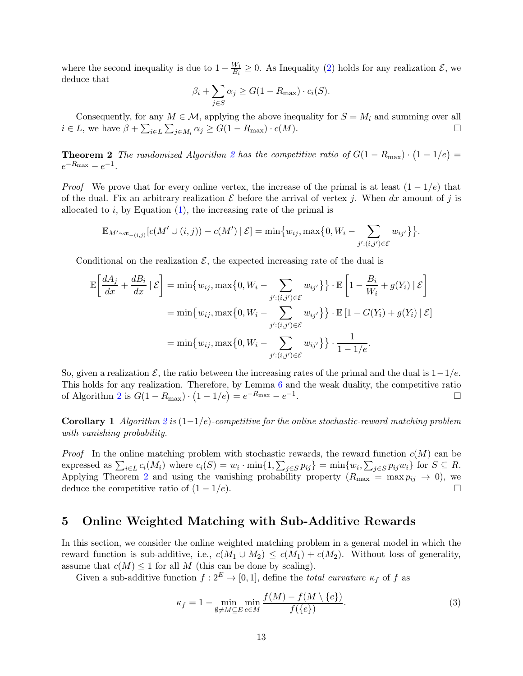where the second inequality is due to  $1 - \frac{W_i}{R_i}$  $\frac{W_i}{B_i} \geq 0$ . As Inequality [\(2\)](#page-11-0) holds for any realization  $\mathcal{E}$ , we deduce that

$$
\beta_i + \sum_{j \in S} \alpha_j \ge G(1 - R_{\text{max}}) \cdot c_i(S).
$$

<span id="page-12-1"></span>Consequently, for any  $M \in \mathcal{M}$ , applying the above inequality for  $S = M_i$  and summing over all  $i \in L$ , we have  $\beta + \sum_{i \in L} \sum_{j \in M_i} \alpha_j \ge G(1 - R_{\text{max}}) \cdot c(M)$ .

**Theorem [2](#page-10-1)** The randomized Algorithm 2 has the competitive ratio of  $G(1 - R_{\text{max}}) \cdot (1 - 1/e) =$  $e^{-R_{\text{max}}} - e^{-1}.$ 

*Proof* We prove that for every online vertex, the increase of the primal is at least  $(1 - 1/e)$  that of the dual. Fix an arbitrary realization  $\mathcal E$  before the arrival of vertex j. When dx amount of j is allocated to  $i$ , by Equation  $(1)$ , the increasing rate of the primal is

$$
\mathbb{E}_{M'\sim\boldsymbol{x}_{-(i,j)}}[c(M'\cup(i,j))-c(M')\mid \mathcal{E}]=\min\{w_{ij},\max\{0,W_i-\sum_{j':(i,j')\in\mathcal{E}}w_{ij'}\}\}.
$$

Conditional on the realization  $\mathcal{E}$ , the expected increasing rate of the dual is

$$
\mathbb{E}\left[\frac{dA_j}{dx} + \frac{dB_i}{dx} | \mathcal{E}\right] = \min\{w_{ij}, \max\{0, W_i - \sum_{j':(i,j')\in\mathcal{E}} w_{ij'}\}\} \cdot \mathbb{E}\left[1 - \frac{B_i}{W_i} + g(Y_i) | \mathcal{E}\right]
$$

$$
= \min\{w_{ij}, \max\{0, W_i - \sum_{j':(i,j')\in\mathcal{E}} w_{ij'}\}\} \cdot \mathbb{E}\left[1 - G(Y_i) + g(Y_i) | \mathcal{E}\right]
$$

$$
= \min\{w_{ij}, \max\{0, W_i - \sum_{j':(i,j')\in\mathcal{E}} w_{ij'}\}\} \cdot \frac{1}{1 - 1/e}.
$$

So, given a realization  $\mathcal{E}$ , the ratio between the increasing rates of the primal and the dual is  $1-1/e$ . This holds for any realization. Therefore, by Lemma [6](#page-14-0) and the weak duality, the competitive ratio of Algorithm [2](#page-10-1) is  $G(1 - R_{\text{max}}) \cdot (1 - 1/e) = e^{-R_{\text{max}}} - e^{-1}$ .

**Corollary 1** Algorithm [2](#page-10-1) is  $(1-1/e)$ -competitive for the online stochastic-reward matching problem with vanishing probability.

*Proof* In the online matching problem with stochastic rewards, the reward function  $c(M)$  can be expressed as  $\sum_{i\in L} c_i(M_i)$  where  $c_i(S) = w_i \cdot \min\{1, \sum_{j\in S} p_{ij}\} = \min\{w_i, \sum_{j\in S} p_{ij}w_i\}$  for  $S \subseteq R$ . Applying Theorem [2](#page-12-1) and using the vanishing probability property  $(R_{\text{max}} = \max p_{ij} \rightarrow 0)$ , we deduce the competitive ratio of  $(1 - 1/e)$ .

# <span id="page-12-0"></span>5 Online Weighted Matching with Sub-Additive Rewards

In this section, we consider the online weighted matching problem in a general model in which the reward function is sub-additive, i.e.,  $c(M_1 \cup M_2) \leq c(M_1) + c(M_2)$ . Without loss of generality, assume that  $c(M) \leq 1$  for all M (this can be done by scaling).

Given a sub-additive function  $f: 2^E \to [0, 1]$ , define the *total curvature*  $\kappa_f$  of f as

<span id="page-12-2"></span>
$$
\kappa_f = 1 - \min_{\emptyset \neq M \subseteq E} \min_{e \in M} \frac{f(M) - f(M \setminus \{e\})}{f(\{e\})}.
$$
\n(3)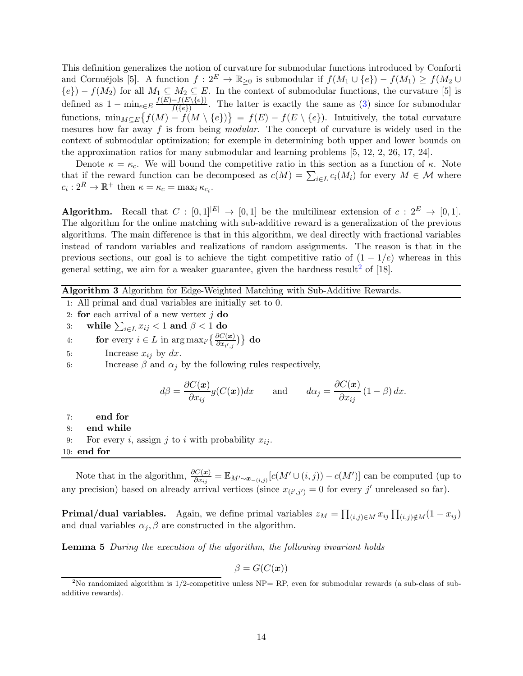This definition generalizes the notion of curvature for submodular functions introduced by Conforti and Cornuéjols [\[5](#page-17-5)]. A function  $f: 2^E \to \mathbb{R}_{\geq 0}$  is submodular if  $f(M_1 \cup \{e\}) - f(M_1) \geq f(M_2 \cup$  ${e}) - f(M_2)$  for all  $M_1 \subseteq M_2 \subseteq E$ . In the context of submodular functions, the curvature [\[5\]](#page-17-5) is defined as  $1 - \min_{e \in E} \frac{f(E) - f(E \setminus \{e\})}{f(\{e\})}$  $\frac{-f(E \setminus \{e\})}{f(\{e\})}$ . The latter is exactly the same as [\(3\)](#page-12-2) since for submodular functions,  $\min_{M \subseteq E} \{ f(M) - f(M \setminus \{e\}) \} = f(E) - f(E \setminus \{e\})$ . Intuitively, the total curvature mesures how far away f is from being modular. The concept of curvature is widely used in the context of submodular optimization; for exemple in determining both upper and lower bounds on the approximation ratios for many submodular and learning problems [\[5](#page-17-5), [12,](#page-18-12) [2](#page-17-6), [26](#page-19-2), [17](#page-18-13), [24\]](#page-19-3).

Denote  $\kappa = \kappa_c$ . We will bound the competitive ratio in this section as a function of  $\kappa$ . Note that if the reward function can be decomposed as  $c(M) = \sum_{i \in L} c_i(M_i)$  for every  $M \in \mathcal{M}$  where  $c_i: 2^R \to \mathbb{R}^+$  then  $\kappa = \kappa_c = \max_i \kappa_{c_i}$ .

**Algorithm.** Recall that  $C : [0,1]^{|E|} \to [0,1]$  be the multilinear extension of  $c : 2^E \to [0,1]$ . The algorithm for the online matching with sub-additive reward is a generalization of the previous algorithms. The main difference is that in this algorithm, we deal directly with fractional variables instead of random variables and realizations of random assignments. The reason is that in the previous sections, our goal is to achieve the tight competitive ratio of  $(1 - 1/e)$  whereas in this general setting, we aim for a weaker guarantee, given the hardness result<sup>[2](#page-13-0)</sup> of  $[18]$ .

### <span id="page-13-1"></span>Algorithm 3 Algorithm for Edge-Weighted Matching with Sub-Additive Rewards.

- 1: All primal and dual variables are initially set to 0.
- 2: for each arrival of a new vertex  $j$  do
- 3: while  $\sum_{i \in L} x_{ij} < 1$  and  $\beta < 1$  do
- 4: **for** every  $i \in L$  in  $\arg \max_{i'} \left\{ \frac{\partial C(\boldsymbol{x})}{\partial x_{i',j}} \right\}$  **do**
- 5: Increase  $x_{ij}$  by  $dx$ .
- 6: Increase  $\beta$  and  $\alpha_j$  by the following rules respectively,

$$
d\beta = \frac{\partial C(\boldsymbol{x})}{\partial x_{ij}} g(C(\boldsymbol{x})) dx
$$
 and  $d\alpha_j = \frac{\partial C(\boldsymbol{x})}{\partial x_{ij}} (1 - \beta) dx$ .

- 7: end for
- 8: end while
- 9: For every i, assign j to i with probability  $x_{ij}$ .
- 10: end for

Note that in the algorithm,  $\frac{\partial C(x)}{\partial x_{ij}} = \mathbb{E}_{M' \sim x_{-(i,j)}}[c(M' \cup (i,j)) - c(M')]$  can be computed (up to any precision) based on already arrival vertices (since  $x_{(i',j')} = 0$  for every j' unreleased so far).

**Primal/dual variables.** Again, we define primal variables  $z_M = \prod_{(i,j)\in M} x_{ij} \prod_{(i,j)\notin M} (1-x_{ij})$ and dual variables  $\alpha_j$ ,  $\beta$  are constructed in the algorithm.

Lemma 5 During the execution of the algorithm, the following invariant holds

$$
\beta = G(C(\boldsymbol{x}))
$$

<span id="page-13-0"></span><sup>&</sup>lt;sup>2</sup>No randomized algorithm is  $1/2$ -competitive unless  $NP = RP$ , even for submodular rewards (a sub-class of subadditive rewards).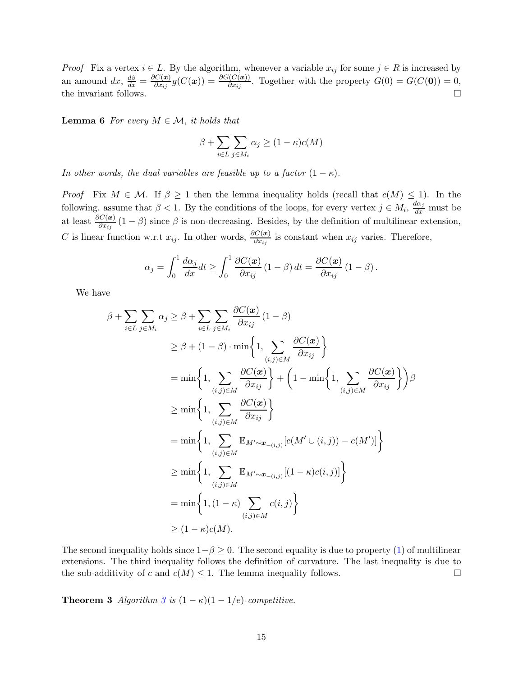*Proof* Fix a vertex  $i \in L$ . By the algorithm, whenever a variable  $x_{ij}$  for some  $j \in R$  is increased by an amound  $dx$ ,  $\frac{d\beta}{dx} = \frac{\partial C(x)}{\partial x_{ij}}$  $\frac{\partial C(\mathbf{x})}{\partial x_{ij}}g(C(\mathbf{x})) = \frac{\partial G(C(\mathbf{x}))}{\partial x_{ij}}.$  Together with the property  $G(0) = G(C(\mathbf{0})) = 0,$ the invariant follows.  $\Box$ 

<span id="page-14-0"></span>**Lemma 6** For every  $M \in \mathcal{M}$ , it holds that

$$
\beta + \sum_{i \in L} \sum_{j \in M_i} \alpha_j \ge (1 - \kappa)c(M)
$$

In other words, the dual variables are feasible up to a factor  $(1 - \kappa)$ .

Proof Fix  $M \in \mathcal{M}$ . If  $\beta \geq 1$  then the lemma inequality holds (recall that  $c(M) \leq 1$ ). In the following, assume that  $\beta < 1$ . By the conditions of the loops, for every vertex  $j \in M_i$ ,  $\frac{d\alpha_j}{dx}$  must be at least  $\frac{\partial C(x)}{\partial x_{ij}}(1-\beta)$  since  $\beta$  is non-decreasing. Besides, by the definition of multilinear extension, C is linear function w.r.t  $x_{ij}$ . In other words,  $\frac{\partial C(x)}{\partial x_{ij}}$  is constant when  $x_{ij}$  varies. Therefore,

$$
\alpha_j = \int_0^1 \frac{d\alpha_j}{dx} dt \ge \int_0^1 \frac{\partial C(\boldsymbol{x})}{\partial x_{ij}} (1 - \beta) dt = \frac{\partial C(\boldsymbol{x})}{\partial x_{ij}} (1 - \beta).
$$

We have

$$
\beta + \sum_{i \in L} \sum_{j \in M_i} \alpha_j \ge \beta + \sum_{i \in L} \sum_{j \in M_i} \frac{\partial C(\boldsymbol{x})}{\partial x_{ij}} (1 - \beta)
$$
  
\n
$$
\ge \beta + (1 - \beta) \cdot \min \left\{ 1, \sum_{(i,j) \in M} \frac{\partial C(\boldsymbol{x})}{\partial x_{ij}} \right\}
$$
  
\n
$$
= \min \left\{ 1, \sum_{(i,j) \in M} \frac{\partial C(\boldsymbol{x})}{\partial x_{ij}} \right\} + \left( 1 - \min \left\{ 1, \sum_{(i,j) \in M} \frac{\partial C(\boldsymbol{x})}{\partial x_{ij}} \right\} \right) \beta
$$
  
\n
$$
\ge \min \left\{ 1, \sum_{(i,j) \in M} \frac{\partial C(\boldsymbol{x})}{\partial x_{ij}} \right\}
$$
  
\n
$$
= \min \left\{ 1, \sum_{(i,j) \in M} \mathbb{E}_{M' \sim \boldsymbol{x}_{-(i,j)}} [c(M' \cup (i,j)) - c(M')] \right\}
$$
  
\n
$$
\ge \min \left\{ 1, \sum_{(i,j) \in M} \mathbb{E}_{M' \sim \boldsymbol{x}_{-(i,j)}} [(1 - \kappa) c(i,j)] \right\}
$$
  
\n
$$
= \min \left\{ 1, (1 - \kappa) \sum_{(i,j) \in M} c(i,j) \right\}
$$
  
\n
$$
\ge (1 - \kappa) c(M).
$$

The second inequality holds since  $1-\beta \geq 0$ . The second equality is due to property [\(1\)](#page-5-1) of multilinear extensions. The third inequality follows the definition of curvature. The last inequality is due to the sub-additivity of c and  $c(M) \leq 1$ . The lemma inequality follows.

**Theorem [3](#page-13-1)** Algorithm 3 is  $(1 - \kappa)(1 - 1/e)$ -competitive.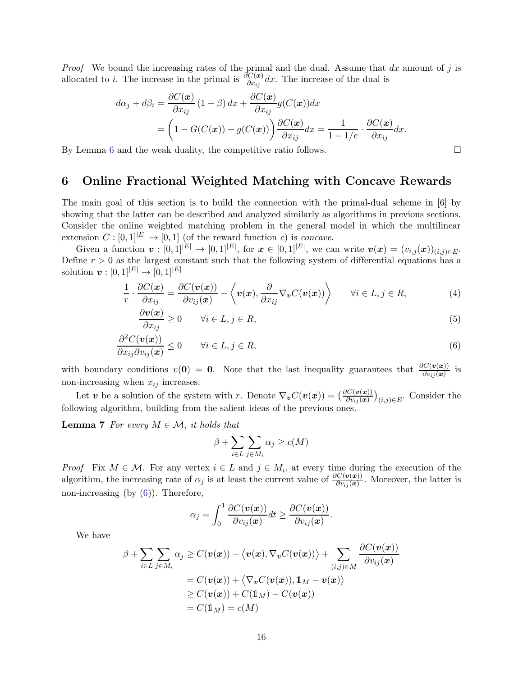*Proof* We bound the increasing rates of the primal and the dual. Assume that  $dx$  amount of j is allocated to *i*. The increase in the primal is  $\frac{\partial C(x)}{\partial x_{ij}} dx$ . The increase of the dual is

$$
d\alpha_j + d\beta_i = \frac{\partial C(\boldsymbol{x})}{\partial x_{ij}} (1 - \beta) dx + \frac{\partial C(\boldsymbol{x})}{\partial x_{ij}} g(C(\boldsymbol{x})) dx
$$
  
=  $\left(1 - G(C(\boldsymbol{x})) + g(C(\boldsymbol{x}))\right) \frac{\partial C(\boldsymbol{x})}{\partial x_{ij}} dx = \frac{1}{1 - 1/e} \cdot \frac{\partial C(\boldsymbol{x})}{\partial x_{ij}} dx.$ 

By Lemma [6](#page-14-0) and the weak duality, the competitive ratio follows.  $\Box$ 

### <span id="page-15-3"></span>6 Online Fractional Weighted Matching with Concave Rewards

The main goal of this section is to build the connection with the primal-dual scheme in [\[6\]](#page-17-1) by showing that the latter can be described and analyzed similarly as algorithms in previous sections. Consider the online weighted matching problem in the general model in which the multilinear extension  $C : [0,1]^{|E|} \to [0,1]$  (of the reward function c) is concave.

Given a function  $\boldsymbol{v} : [0,1]^{|E|} \to [0,1]^{|E|}$ , for  $\boldsymbol{x} \in [0,1]^{|E|}$ , we can write  $\boldsymbol{v}(\boldsymbol{x}) = (v_{i,j}(\boldsymbol{x}))_{(i,j) \in E}$ . Define  $r > 0$  as the largest constant such that the following system of differential equations has a solution  $v : [0, 1]^{|E|} \to [0, 1]^{|E|}$ 

$$
\frac{1}{r} \cdot \frac{\partial C(\boldsymbol{x})}{\partial x_{ij}} = \frac{\partial C(\boldsymbol{v}(\boldsymbol{x}))}{\partial v_{ij}(\boldsymbol{x})} - \left\langle \boldsymbol{v}(\boldsymbol{x}), \frac{\partial}{\partial x_{ij}} \nabla_{\boldsymbol{v}} C(\boldsymbol{v}(\boldsymbol{x})) \right\rangle \qquad \forall i \in L, j \in R,
$$
\n(4)

$$
\frac{\partial v(x)}{\partial x_{ij}} \ge 0 \qquad \forall i \in L, j \in R,
$$
\n(5)

$$
\frac{\partial^2 C(\mathbf{v}(\mathbf{x}))}{\partial x_{ij}\partial v_{ij}(\mathbf{x})} \le 0 \qquad \forall i \in L, j \in R,
$$
\n(6)

with boundary conditions  $v(0) = 0$ . Note that the last inequality guarantees that  $\frac{\partial C(v(x))}{\partial v_{ij}(x)}$  is non-increasing when  $x_{ij}$  increases.

Let v be a solution of the system with r. Denote  $\nabla_{\bm{v}} C(\bm{v}(\bm{x})) = \left(\frac{\partial C(\bm{v}(\bm{x}))}{\partial v_{ij}(\bm{x})}\right)_{(i,j)\in E}$ . Consider the following algorithm, building from the salient ideas of the previous ones.

**Lemma 7** For every  $M \in \mathcal{M}$ , it holds that

<span id="page-15-2"></span><span id="page-15-1"></span><span id="page-15-0"></span>
$$
\beta + \sum_{i \in L} \sum_{j \in M_i} \alpha_j \ge c(M)
$$

*Proof* Fix  $M \in \mathcal{M}$ . For any vertex  $i \in L$  and  $j \in M_i$ , at every time during the execution of the algorithm, the increasing rate of  $\alpha_j$  is at least the current value of  $\frac{\partial C(v(x))}{\partial v_{ij}(x)}$ . Moreover, the latter is non-increasing (by  $(6)$ ). Therefore,

$$
\alpha_j = \int_0^1 \frac{\partial C(\boldsymbol{v}(\boldsymbol{x}))}{\partial v_{ij}(\boldsymbol{x})} dt \geq \frac{\partial C(\boldsymbol{v}(\boldsymbol{x}))}{\partial v_{ij}(\boldsymbol{x})}.
$$

We have

$$
\beta + \sum_{i \in L} \sum_{j \in M_i} \alpha_j \ge C(\boldsymbol{v}(\boldsymbol{x})) - \langle \boldsymbol{v}(\boldsymbol{x}), \nabla_{\boldsymbol{v}} C(\boldsymbol{v}(\boldsymbol{x})) \rangle + \sum_{(i,j) \in M} \frac{\partial C(\boldsymbol{v}(\boldsymbol{x}))}{\partial v_{ij}(\boldsymbol{x})}
$$
  
\n
$$
= C(\boldsymbol{v}(\boldsymbol{x})) + \langle \nabla_{\boldsymbol{v}} C(\boldsymbol{v}(\boldsymbol{x})), 1_M - \boldsymbol{v}(\boldsymbol{x}) \rangle
$$
  
\n
$$
\ge C(\boldsymbol{v}(\boldsymbol{x})) + C(1_M) - C(\boldsymbol{v}(\boldsymbol{x}))
$$
  
\n
$$
= C(1_M) = c(M)
$$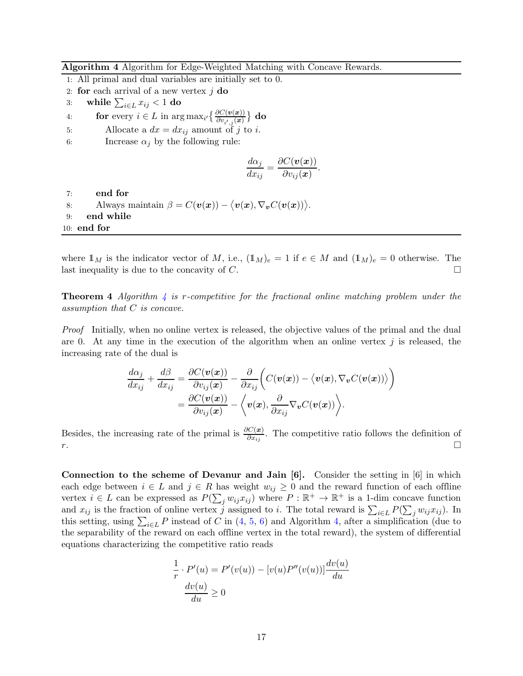<span id="page-16-0"></span>Algorithm 4 Algorithm for Edge-Weighted Matching with Concave Rewards.

- 1: All primal and dual variables are initially set to 0.
- 2: for each arrival of a new vertex  $j$  do
- 3: while  $\sum_{i \in L} x_{ij} < 1$  do
- 4: **for** every  $i \in L$  in  $\arg \max_{i'} \left\{ \frac{\partial C(\bm{v}(\bm{x}))}{\partial v_{i',j}(\bm{x})} \right\}$  do
- 5: Allocate a  $dx = dx_{ij}$  amount of j to i.
- 6: Increase  $\alpha_j$  by the following rule:

$$
\frac{d\alpha_j}{dx_{ij}} = \frac{\partial C(\boldsymbol{v}(\boldsymbol{x}))}{\partial v_{ij}(\boldsymbol{x})}.
$$

7: end for

- 8: Always maintain  $\beta = C(\boldsymbol{v}(\boldsymbol{x})) \langle \boldsymbol{v}(\boldsymbol{x}), \nabla_{\boldsymbol{v}} C(\boldsymbol{v}(\boldsymbol{x})) \rangle$ .
- 9: end while

10: end for

where  $\mathbb{1}_M$  is the indicator vector of M, i.e.,  $(\mathbb{1}_M)_e = 1$  if  $e \in M$  and  $(\mathbb{1}_M)_e = 0$  otherwise. The last inequality is due to the concavity of C.

**Theorem [4](#page-16-0)** Algorithm 4 is r-competitive for the fractional online matching problem under the assumption that C is concave.

Proof Initially, when no online vertex is released, the objective values of the primal and the dual are 0. At any time in the execution of the algorithm when an online vertex  $j$  is released, the increasing rate of the dual is

$$
\frac{d\alpha_j}{dx_{ij}} + \frac{d\beta}{dx_{ij}} = \frac{\partial C(\mathbf{v}(\mathbf{x}))}{\partial v_{ij}(\mathbf{x})} - \frac{\partial}{\partial x_{ij}} \bigg( C(\mathbf{v}(\mathbf{x})) - \big\langle \mathbf{v}(\mathbf{x}), \nabla_{\mathbf{v}} C(\mathbf{v}(\mathbf{x})) \big\rangle \bigg) \n= \frac{\partial C(\mathbf{v}(\mathbf{x}))}{\partial v_{ij}(\mathbf{x})} - \bigg\langle \mathbf{v}(\mathbf{x}), \frac{\partial}{\partial x_{ij}} \nabla_{\mathbf{v}} C(\mathbf{v}(\mathbf{x})) \bigg\rangle.
$$

Besides, the increasing rate of the primal is  $\frac{\partial C(x)}{\partial x_{ij}}$ . The competitive ratio follows the definition of  $r.$ 

Connection to the scheme of Devanur and Jain  $[6]$ . Consider the setting in  $[6]$  in which each edge between  $i \in L$  and  $j \in R$  has weight  $w_{ij} \geq 0$  and the reward function of each offline vertex  $i \in L$  can be expressed as  $P(\sum_j w_{ij} x_{ij})$  where  $P : \mathbb{R}^+ \to \mathbb{R}^+$  is a 1-dim concave function and  $x_{ij}$  is the fraction of online vertex j assigned to i. The total reward is  $\sum_{i\in L} P(\sum_j w_{ij} x_{ij})$ . In this setting, using  $\sum_{i\in L} P$  instead of C in  $(4, 5, 6)$  $(4, 5, 6)$  $(4, 5, 6)$  $(4, 5, 6)$  and Algorithm [4,](#page-16-0) after a simplification (due to the separability of the reward on each offline vertex in the total reward), the system of differential equations characterizing the competitive ratio reads

$$
\frac{1}{r} \cdot P'(u) = P'(v(u)) - [v(u)P''(v(u))] \frac{dv(u)}{du}
$$

$$
\frac{dv(u)}{du} \ge 0
$$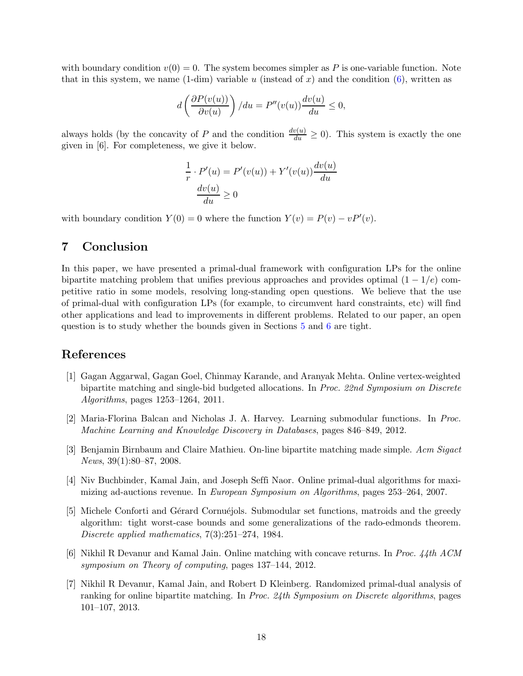with boundary condition  $v(0) = 0$ . The system becomes simpler as P is one-variable function. Note that in this system, we name  $(1\text{-dim})$  variable u (instead of x) and the condition  $(6)$ , written as

$$
d\left(\frac{\partial P(v(u))}{\partial v(u)}\right)/du = P''(v(u))\frac{dv(u)}{du} \le 0,
$$

always holds (by the concavity of P and the condition  $\frac{dv(u)}{du} \ge 0$ ). This system is exactly the one given in [\[6\]](#page-17-1). For completeness, we give it below.

$$
\frac{1}{r} \cdot P'(u) = P'(v(u)) + Y'(v(u)) \frac{dv(u)}{du}
$$

$$
\frac{dv(u)}{du} \ge 0
$$

with boundary condition  $Y(0) = 0$  where the function  $Y(v) = P(v) - vP'(v)$ .

# 7 Conclusion

In this paper, we have presented a primal-dual framework with configuration LPs for the online bipartite matching problem that unifies previous approaches and provides optimal  $(1 - 1/e)$  competitive ratio in some models, resolving long-standing open questions. We believe that the use of primal-dual with configuration LPs (for example, to circumvent hard constraints, etc) will find other applications and lead to improvements in different problems. Related to our paper, an open question is to study whether the bounds given in Sections [5](#page-12-0) and [6](#page-15-3) are tight.

### References

- <span id="page-17-4"></span>[1] Gagan Aggarwal, Gagan Goel, Chinmay Karande, and Aranyak Mehta. Online vertex-weighted bipartite matching and single-bid budgeted allocations. In Proc. 22nd Symposium on Discrete Algorithms, pages 1253–1264, 2011.
- <span id="page-17-6"></span>[2] Maria-Florina Balcan and Nicholas J. A. Harvey. Learning submodular functions. In Proc. Machine Learning and Knowledge Discovery in Databases, pages 846–849, 2012.
- <span id="page-17-2"></span>[3] Benjamin Birnbaum and Claire Mathieu. On-line bipartite matching made simple. Acm Sigact News, 39(1):80–87, 2008.
- <span id="page-17-3"></span>[4] Niv Buchbinder, Kamal Jain, and Joseph Seffi Naor. Online primal-dual algorithms for maximizing ad-auctions revenue. In European Symposium on Algorithms, pages 253–264, 2007.
- <span id="page-17-5"></span>[5] Michele Conforti and Gérard Cornuéjols. Submodular set functions, matroids and the greedy algorithm: tight worst-case bounds and some generalizations of the rado-edmonds theorem. Discrete applied mathematics, 7(3):251–274, 1984.
- <span id="page-17-1"></span>[6] Nikhil R Devanur and Kamal Jain. Online matching with concave returns. In Proc. 44th ACM symposium on Theory of computing, pages 137–144, 2012.
- <span id="page-17-0"></span>[7] Nikhil R Devanur, Kamal Jain, and Robert D Kleinberg. Randomized primal-dual analysis of ranking for online bipartite matching. In Proc. 24th Symposium on Discrete algorithms, pages 101–107, 2013.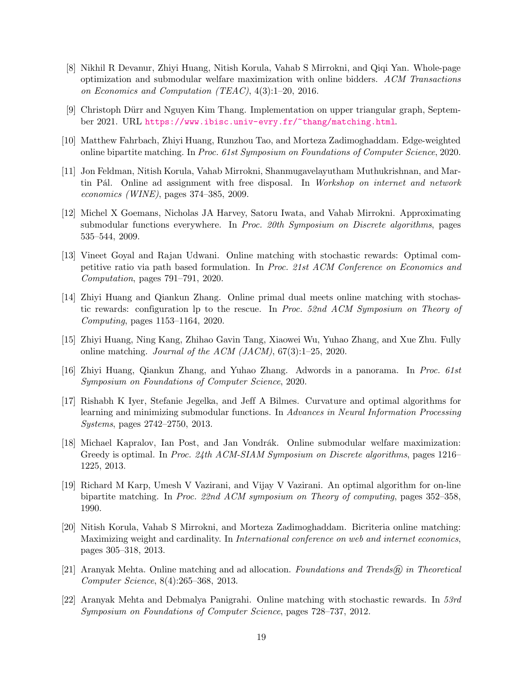- <span id="page-18-4"></span>[8] Nikhil R Devanur, Zhiyi Huang, Nitish Korula, Vahab S Mirrokni, and Qiqi Yan. Whole-page optimization and submodular welfare maximization with online bidders. ACM Transactions on Economics and Computation (TEAC), 4(3):1–20, 2016.
- <span id="page-18-11"></span>[9] Christoph Dürr and Nguyen Kim Thang. Implementation on upper triangular graph, September 2021. URL <https://www.ibisc.univ-evry.fr/~thang/matching.html>.
- <span id="page-18-1"></span>[10] Matthew Fahrbach, Zhiyi Huang, Runzhou Tao, and Morteza Zadimoghaddam. Edge-weighted online bipartite matching. In Proc. 61st Symposium on Foundations of Computer Science, 2020.
- <span id="page-18-2"></span>[11] Jon Feldman, Nitish Korula, Vahab Mirrokni, Shanmugavelayutham Muthukrishnan, and Martin Pál. Online ad assignment with free disposal. In Workshop on internet and network economics (WINE), pages 374–385, 2009.
- <span id="page-18-12"></span>[12] Michel X Goemans, Nicholas JA Harvey, Satoru Iwata, and Vahab Mirrokni. Approximating submodular functions everywhere. In Proc. 20th Symposium on Discrete algorithms, pages 535–544, 2009.
- <span id="page-18-10"></span>[13] Vineet Goyal and Rajan Udwani. Online matching with stochastic rewards: Optimal competitive ratio via path based formulation. In Proc. 21st ACM Conference on Economics and Computation, pages 791–791, 2020.
- <span id="page-18-5"></span>[14] Zhiyi Huang and Qiankun Zhang. Online primal dual meets online matching with stochastic rewards: configuration lp to the rescue. In Proc. 52nd ACM Symposium on Theory of Computing, pages 1153–1164, 2020.
- <span id="page-18-6"></span>[15] Zhiyi Huang, Ning Kang, Zhihao Gavin Tang, Xiaowei Wu, Yuhao Zhang, and Xue Zhu. Fully online matching. Journal of the ACM (JACM), 67(3):1–25, 2020.
- <span id="page-18-7"></span>[16] Zhiyi Huang, Qiankun Zhang, and Yuhao Zhang. Adwords in a panorama. In Proc. 61st Symposium on Foundations of Computer Science, 2020.
- <span id="page-18-13"></span>[17] Rishabh K Iyer, Stefanie Jegelka, and Jeff A Bilmes. Curvature and optimal algorithms for learning and minimizing submodular functions. In Advances in Neural Information Processing Systems, pages 2742–2750, 2013.
- <span id="page-18-14"></span>[18] Michael Kapralov, Ian Post, and Jan Vondrák. Online submodular welfare maximization: Greedy is optimal. In Proc. 24th ACM-SIAM Symposium on Discrete algorithms, pages 1216– 1225, 2013.
- <span id="page-18-0"></span>[19] Richard M Karp, Umesh V Vazirani, and Vijay V Vazirani. An optimal algorithm for on-line bipartite matching. In Proc. 22nd ACM symposium on Theory of computing, pages 352–358, 1990.
- <span id="page-18-9"></span>[20] Nitish Korula, Vahab S Mirrokni, and Morteza Zadimoghaddam. Bicriteria online matching: Maximizing weight and cardinality. In *International conference on web and internet economics*, pages 305–318, 2013.
- <span id="page-18-8"></span>[21] Aranyak Mehta. Online matching and ad allocation. Foundations and Trends $\Re$  in Theoretical Computer Science, 8(4):265–368, 2013.
- <span id="page-18-3"></span>[22] Aranyak Mehta and Debmalya Panigrahi. Online matching with stochastic rewards. In 53rd Symposium on Foundations of Computer Science, pages 728–737, 2012.